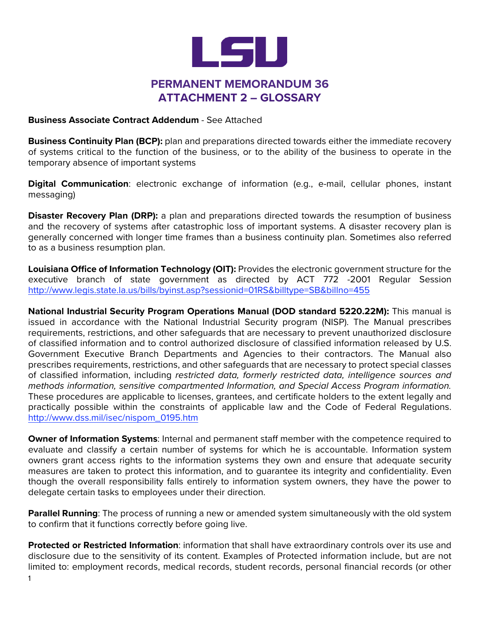

## **Business Associate Contract Addendum** - See Attached

**Business Continuity Plan (BCP):** plan and preparations directed towards either the immediate recovery of systems critical to the function of the business, or to the ability of the business to operate in the temporary absence of important systems

**Digital Communication**: electronic exchange of information (e.g., e-mail, cellular phones, instant messaging)

**Disaster Recovery Plan (DRP):** a plan and preparations directed towards the resumption of business and the recovery of systems after catastrophic loss of important systems. A disaster recovery plan is generally concerned with longer time frames than a business continuity plan. Sometimes also referred to as a business resumption plan.

**Louisiana Office of Information Technology (OIT):** Provides the electronic government structure for the executive branch of state government as directed by ACT 772 -2001 Regular Session <http://www.legis.state.la.us/bills/byinst.asp?sessionid=01RS&billtype=SB&billno=455>

**National Industrial Security Program Operations Manual (DOD standard 5220.22M):** This manual is issued in accordance with the National Industrial Security program (NISP). The Manual prescribes requirements, restrictions, and other safeguards that are necessary to prevent unauthorized disclosure of classified information and to control authorized disclosure of classified information released by U.S. Government Executive Branch Departments and Agencies to their contractors. The Manual also prescribes requirements, restrictions, and other safeguards that are necessary to protect special classes of classified information, including *restricted data, formerly restricted data, intelligence sources and methods information, sensitive compartmented Information, and Special Access Program information.*  These procedures are applicable to licenses, grantees, and certificate holders to the extent legally and practically possible within the constraints of applicable law and the Code of Federal Regulations. [http://www.dss.mil/isec/nispom\\_0195.htm](http://www.dss.mil/isec/nispom_0195.htm)

**Owner of Information Systems**: Internal and permanent staff member with the competence required to evaluate and classify a certain number of systems for which he is accountable. Information system owners grant access rights to the information systems they own and ensure that adequate security measures are taken to protect this information, and to guarantee its integrity and confidentiality. Even though the overall responsibility falls entirely to information system owners, they have the power to delegate certain tasks to employees under their direction.

**Parallel Running**: The process of running a new or amended system simultaneously with the old system to confirm that it functions correctly before going live.

**Protected or Restricted Information**: information that shall have extraordinary controls over its use and disclosure due to the sensitivity of its content. Examples of Protected information include, but are not limited to: employment records, medical records, student records, personal financial records (or other